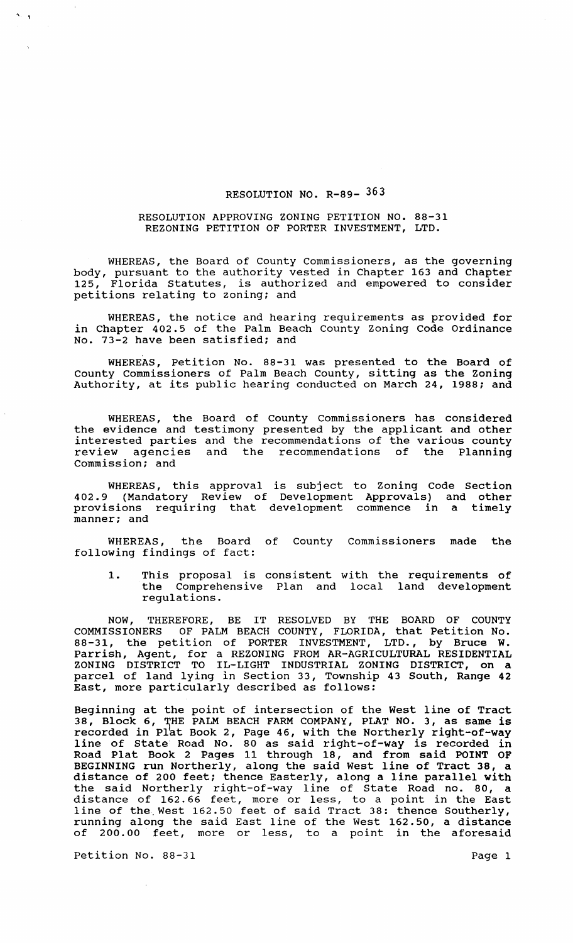## RESOLUTION NO. R-89- 363

# RESOLUTION APPROVING ZONING PETITION NO. 88-31 REZONING PETITION OF PORTER INVESTMENT, LTD.

WHEREAS, the Board of County Commissioners, as the governing body, pursuant to the authority vested in Chapter 163 and Chapter 125, Florida Statutes, is authorized and empowered to consider petitions relating to zoning: and

WHEREAS, the notice and hearing requirements as provided for in Chapter 402.5 of the Palm Beach County Zoning Code Ordinance No. 73-2 have been satisfied: and

WHEREAS, Petition No. 88-31 was presented to the Board of County Commissioners of Palm Beach County, sitting as the Zoning Authority, at its public hearing conducted on March 24, 1988: and

WHEREAS, the Board of County Commissioners has considered the evidence and testimony presented by the applicant and other interested parties and the recommendations of the various county review agencies and the recommendations of the Planning commission; and

WHEREAS, this approval is subject to Zoning Code Section 402.9 (Mandatory Review of Development Approvals) and other provisions requiring that development commence in a timely manner; and

WHEREAS, the Board of County Commissioners made the following findings of fact:

1. This proposal is consistent with the requirements of the Comprehensive Plan and local land development regulations.

NOW, THEREFORE, BE IT RESOLVED BY THE BOARD OF COUNTY COMMISSIONERS OF PALM BEACH COUNTY, FLORIDA, that Petition No. 88-31, the petition of PORTER INVESTMENT, LTD., by Bruce W. Parrish, Agent, for a REZONING FROM AR-AGRICULTURAL RESIDENTIAL ZONING DISTRICT TO IL-LIGHT INDUSTRIAL ZONING DISTRICT, on a parcel of land lying in section 33, Township 43 South, Range 42 East, more particularly described as follows:

Beginning at the point of intersection of the West line of Tract Beginning at the point of intersection of the west fine of fluct recorded in Plat Book 2, Page 46, with the Northerly right-of-way line of State Road No. 80 as said right-of-way is recorded in Road Plat Book 2 Pages 11 through 18, and from said POINT OF BEGINNING run Northerly, along the said West line of Tract 38, a Bediming fan northerly, along the Baid west fine of flaor so, a<br>distance of 200 feet; thence Easterly, along a line parallel with the said Northerly right-of-way line of State Road no. 80, a distance of 162.66 feet, more or less, to a point in the East arbeance of fortes feed, more of fess, es a point in the hase<br>line of the West 162.50 feet of said Tract 38: thence Southerly, running along the said East line of the West 162.50, a distance of 200.00 feet, more or less, to a point in the aforesaid

Petition No. 88-31 Page 1

... ,

 $\bar{\mathcal{A}}$ 

 $\sim$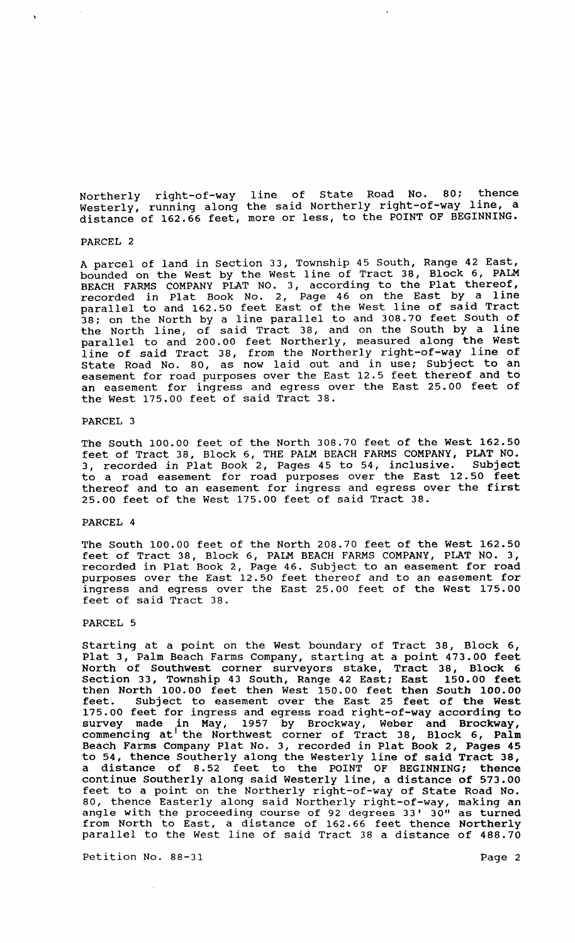Northerly right-of-way line of state Road No. 80; thence Westerly, running along the said Northerly right-of-way line, a distance of 162.66 feet, more or less, to the POINT OF BEGINNING.

PARCEL 2

A parcel of land in section 33, Township 45 South, Range 42 East, bounded on the West by the West line of Tract 38, Block 6, PALM BEACH FARMS COMPANY PLAT NO. 3, according to the Plat thereof, recorded in Plat Book No.2, Page 46 on the East by a line parallel to and 162.50 feet East of the West line of said Tract 38; on the North by a line parallel to and 308.70 feet South of the North line, of said Tract 38, and on the South by a line parallel to and 200.00 feet Northerly, measured along the West line of said Tract 38, from the Northerly right-of-way line of State Road No. 80, as now laid out and in use; Subject to an easement for road purposes over the East 12.5 feet thereof and to an easement for ingress and egress over the East 25.00 feet of the West 175.00 feet of said Tract 38.

#### PARCEL 3

The South 100.00 feet of the North 308.70 feet of the West 162.50 feet of Tract 38, Block 6, THE PALM BEACH FARMS COMPANY, PLAT NO. 3, recorded in Plat Book 2, Pages 45 to 54, inclusive. Subject to a road easement for road purposes over the East 12.50 feet thereof and to an easement for ingress and egress over the first 25.00 feet of the West 175.00 feet of said Tract 38.

# PARCEL 4

The South 100.00 feet of the North 208.70 feet of the West 162.50 feet of Tract 38, Block 6, PALM BEACH FARMS COMPANY, PLAT NO.3, recorded in Plat Book 2, Page 46. Subject to an easement for road purposes over the East 12.50 feet thereof and to an easement for ingress and egress over the East 25.00 feet of the West 175.00 feet of said Tract 38.

## PARCEL 5

Starting at a point on the West boundary of Tract 38, Block 6, Plat 3, Palm Beach Farms Company, starting at a point 473.00 feet North of Southwest corner surveyors stake, Tract 38, Block 6 Section 33, Township 43 South, Range 42 East; East 150.00 feet then North 100.00 feet then West 150.00 feet then South 100.00 feet. Subject to easement over the East 25 feet of the West 175.00 feet for ingress and egress road right-of-way according to survey made in May, 1957 by Brockway, Weber and Brockway, commencing at the Northwest corner of Tract 38, Block 6, Palm Beach Farms Company Plat No.3, recorded in Plat Book 2, Pages 45 to 54, thence Southerly along the Westerly line of said Tract 38, a distance of 8.52 feet to the POINT OF BEGINNING; thence continue Southerly along said Westerly line, a distance of 573.00 feet to a point on the Northerly right-of-way of State Road No. 80, thence Easterly along said Northerly right-of-way, making an angle with the proceeding course of 92 degrees 33' 30" as turned from North to East, a distance of 162.66 feet thence Northerly parallel to the West line of said Tract 38 a distance of 488.70

Petition No. 88-31 Page 2